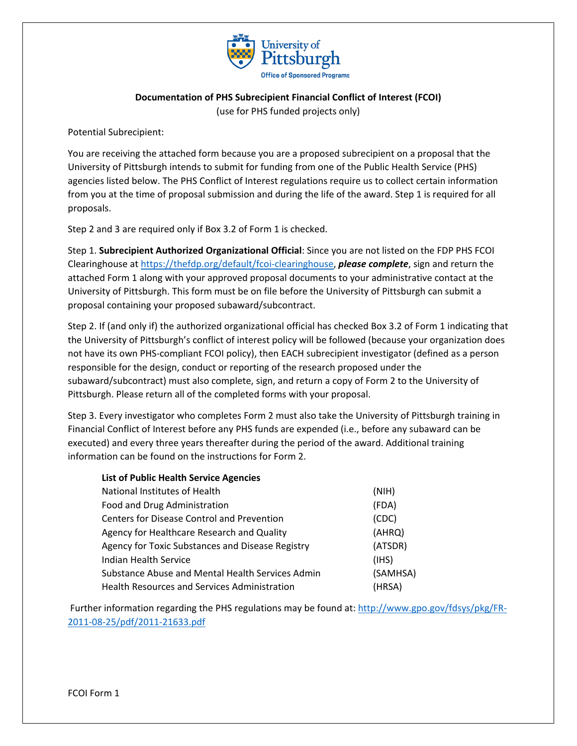

## **Documentation of PHS Subrecipient Financial Conflict of Interest (FCOI)** (use for PHS funded projects only)

Potential Subrecipient:

You are receiving the attached form because you are a proposed subrecipient on a proposal that the University of Pittsburgh intends to submit for funding from one of the Public Health Service (PHS) agencies listed below. The PHS Conflict of Interest regulations require us to collect certain information from you at the time of proposal submission and during the life of the award. Step 1 is required for all proposals.

Step 2 and 3 are required only if Box 3.2 of Form 1 is checked.

Step 1. **Subrecipient Authorized Organizational Official**: Since you are not listed on the FDP PHS FCOI Clearinghouse at [https://thefdp.org/default/fcoi-clearinghouse,](https://thefdp.org/default/fcoi-clearinghouse) *please complete*, sign and return the attached Form 1 along with your approved proposal documents to your administrative contact at the University of Pittsburgh. This form must be on file before the University of Pittsburgh can submit a proposal containing your proposed subaward/subcontract.

Step 2. If (and only if) the authorized organizational official has checked Box 3.2 of Form 1 indicating that the University of Pittsburgh's conflict of interest policy will be followed (because your organization does not have its own PHS-compliant FCOI policy), then EACH subrecipient investigator (defined as a person responsible for the design, conduct or reporting of the research proposed under the subaward/subcontract) must also complete, sign, and return a copy of Form 2 to the University of Pittsburgh. Please return all of the completed forms with your proposal.

Step 3. Every investigator who completes Form 2 must also take the University of Pittsburgh training in Financial Conflict of Interest before any PHS funds are expended (i.e., before any subaward can be executed) and every three years thereafter during the period of the award. Additional training information can be found on the instructions for Form 2.

| <b>List of Public Health Service Agencies</b>       |          |
|-----------------------------------------------------|----------|
| National Institutes of Health                       | (NIH)    |
| Food and Drug Administration                        | (FDA)    |
| Centers for Disease Control and Prevention          | (CDC)    |
| Agency for Healthcare Research and Quality          | (AHRQ)   |
| Agency for Toxic Substances and Disease Registry    | (ATSDR)  |
| Indian Health Service                               | (1HS)    |
| Substance Abuse and Mental Health Services Admin    | (SAMHSA) |
| <b>Health Resources and Services Administration</b> | (HRSA)   |

Further information regarding the PHS regulations may be found at: [http://www.gpo.gov/fdsys/pkg/FR-](http://www.gpo.gov/fdsys/pkg/FR-2011-08-25/pdf/2011-21633.pdf)[2011-08-25/pdf/2011-21633.pdf](http://www.gpo.gov/fdsys/pkg/FR-2011-08-25/pdf/2011-21633.pdf)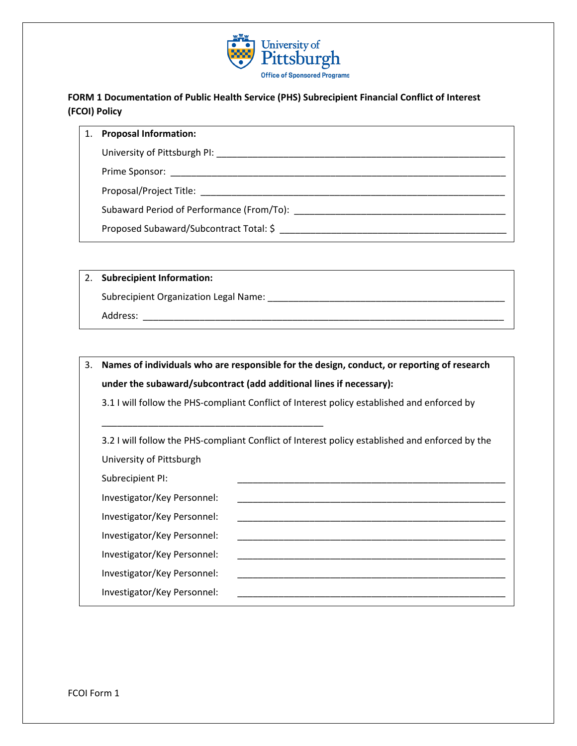

## **FORM 1 Documentation of Public Health Service (PHS) Subrecipient Financial Conflict of Interest (FCOI) Policy**

#### 1. **Proposal Information:**

University of Pittsburgh PI: **with the example of Pittsburgh PI:**  $\blacksquare$ 

Prime Sponsor: \_\_\_\_\_\_\_\_\_\_\_\_\_\_\_\_\_\_\_\_\_\_\_\_\_\_\_\_\_\_\_\_\_\_\_\_\_\_\_\_\_\_\_\_\_\_\_\_\_\_\_\_\_\_\_\_\_\_\_\_\_\_\_\_\_

Proposal/Project Title: \_\_\_\_\_\_\_\_\_\_\_\_\_\_\_\_\_\_\_\_\_\_\_\_\_\_\_\_\_\_\_\_\_\_\_\_\_\_\_\_\_\_\_\_\_\_\_\_\_\_\_\_\_\_\_\_\_\_\_

Subaward Period of Performance (From/To): \_\_\_\_\_\_\_\_\_\_\_\_\_\_\_\_\_\_\_\_\_\_\_\_\_\_\_\_\_\_\_\_\_\_\_\_\_\_\_\_\_

Proposed Subaward/Subcontract Total: \$ \_\_\_\_\_\_\_\_\_\_\_\_\_\_\_\_\_\_\_\_\_\_\_\_\_\_\_\_\_\_\_\_\_\_\_\_\_\_\_\_\_\_\_\_

## 2. **Subrecipient Information:**

Subrecipient Organization Legal Name: \_\_\_\_\_\_\_\_\_\_\_\_\_\_\_\_\_\_\_\_\_\_\_\_\_\_\_\_\_\_\_\_\_\_\_\_\_\_\_\_\_\_\_\_\_\_

\_\_\_\_\_\_\_\_\_\_\_\_\_\_\_\_\_\_\_\_\_\_\_\_\_\_\_\_\_\_\_\_\_\_\_\_\_\_\_\_\_\_\_

Address: \_\_\_\_\_\_\_\_\_\_\_\_\_\_\_\_\_\_\_\_\_\_\_\_\_\_\_\_\_\_\_\_\_\_\_\_\_\_\_\_\_\_\_\_\_\_\_\_\_\_\_\_\_\_\_\_\_\_\_\_\_\_\_\_\_\_\_\_\_\_

# 3. **Names of individuals who are responsible for the design, conduct, or reporting of research under the subaward/subcontract (add additional lines if necessary):**

3.1 I will follow the PHS-compliant Conflict of Interest policy established and enforced by

3.2 I will follow the PHS-compliant Conflict of Interest policy established and enforced by the University of Pittsburgh

Subrecipient PI:

Investigator/Key Personnel:

Investigator/Key Personnel:

Investigator/Key Personnel: \_\_\_\_\_\_\_\_\_\_\_\_\_\_\_\_\_\_\_\_\_\_\_\_\_\_\_\_\_\_\_\_\_\_\_\_\_\_\_\_\_\_\_\_\_\_\_\_\_\_\_\_

Investigator/Key Personnel: \_\_\_\_\_\_\_\_\_\_\_\_\_\_\_\_\_\_\_\_\_\_\_\_\_\_\_\_\_\_\_\_\_\_\_\_\_\_\_\_\_\_\_\_\_\_\_\_\_\_\_\_ Investigator/Key Personnel:

Investigator/Key Personnel:

FCOI Form 1